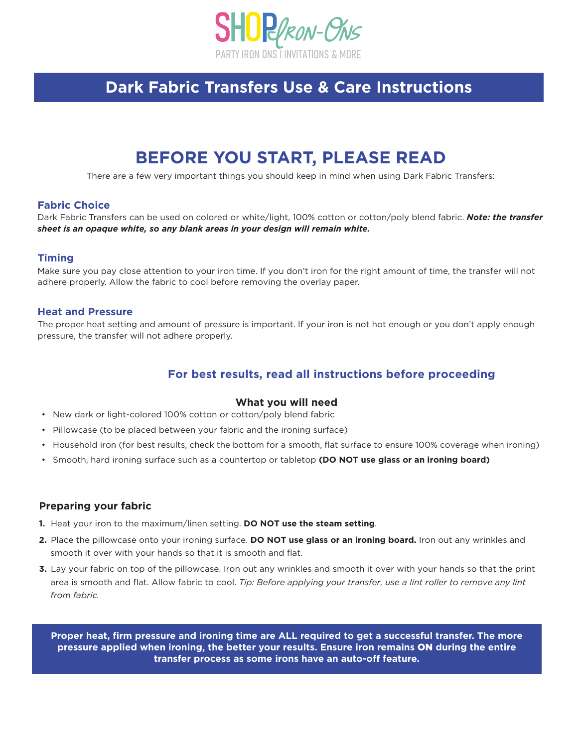

## **Dark Fabric Transfers Use & Care Instructions**

# **BEFORE YOU START, PLEASE READ**

There are a few very important things you should keep in mind when using Dark Fabric Transfers:

### **Fabric Choice**

Dark Fabric Transfers can be used on colored or white/light, 100% cotton or cotton/poly blend fabric. *Note: the transfer sheet is an opaque white, so any blank areas in your design will remain white.*

#### **Timing**

Make sure you pay close attention to your iron time. If you don't iron for the right amount of time, the transfer will not adhere properly. Allow the fabric to cool before removing the overlay paper.

#### **Heat and Pressure**

The proper heat setting and amount of pressure is important. If your iron is not hot enough or you don't apply enough pressure, the transfer will not adhere properly.

## **For best results, read all instructions before proceeding**

#### **What you will need**

- New dark or light-colored 100% cotton or cotton/poly blend fabric
- Pillowcase (to be placed between your fabric and the ironing surface)
- Household iron (for best results, check the bottom for a smooth, flat surface to ensure 100% coverage when ironing)
- Smooth, hard ironing surface such as a countertop or tabletop **(DO NOT use glass or an ironing board)**

#### **Preparing your fabric**

- **1.** Heat your iron to the maximum/linen setting. **DO NOT use the steam setting**.
- **2.** Place the pillowcase onto your ironing surface. **DO NOT use glass or an ironing board.** Iron out any wrinkles and smooth it over with your hands so that it is smooth and flat.
- **3.** Lay your fabric on top of the pillowcase. Iron out any wrinkles and smooth it over with your hands so that the print area is smooth and flat. Allow fabric to cool. *Tip: Before applying your transfer, use a lint roller to remove any lint from fabric.*

**Proper heat, firm pressure and ironing time are ALL required to get a successful transfer. The more pressure applied when ironing, the better your results. Ensure iron remains** ON **during the entire transfer process as some irons have an auto-off feature.**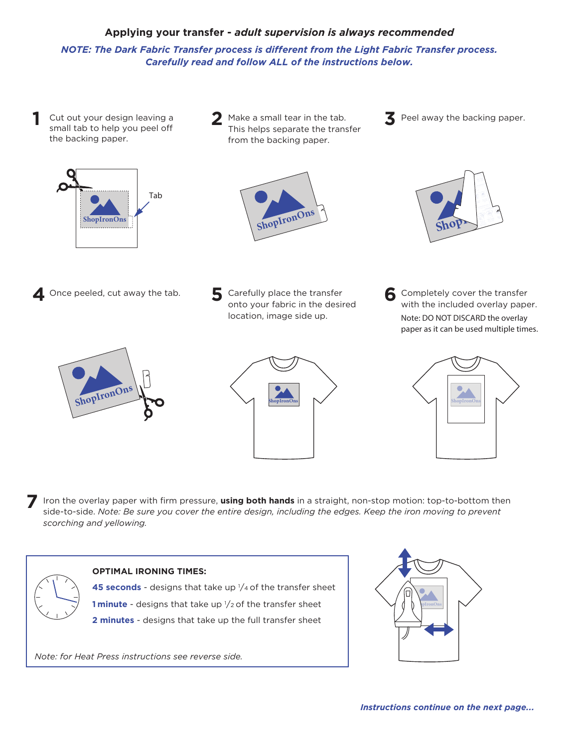## **Applying your transfer -** *adult supervision is always recommended*

*NOTE: The Dark Fabric Transfer process is different from the Light Fabric Transfer process. Carefully read and follow ALL of the instructions below.*

**1** Cut out your design leaving a small tab to help you peel off the backing paper.



**2** Make a small tear in the tab. This helps separate the transfer from the backing paper.







**4** Once peeled, cut away the tab. **5** Carefully place the transfer

onto your fabric in the desired location, image side up.

**6** Completely cover the transfer with the included overlay paper. *Note: DO NOT DISCARD the overlay paper as it can be used multiple times.*







**7** Iron the overlay paper with firm pressure, **using both hands** in a straight, non-stop motion: top-to-bottom then side-to-side. *Note: Be sure you cover the entire design, including the edges. Keep the iron moving to prevent scorching and yellowing.*



## **OPTIMAL IRONING TIMES:**

**45 seconds** - designs that take up  $1/4$  of the transfer sheet **1 minute** - designs that take up  $\frac{1}{2}$  of the transfer sheet

**2 minutes** - designs that take up the full transfer sheet

*Note: for Heat Press instructions see reverse side.*